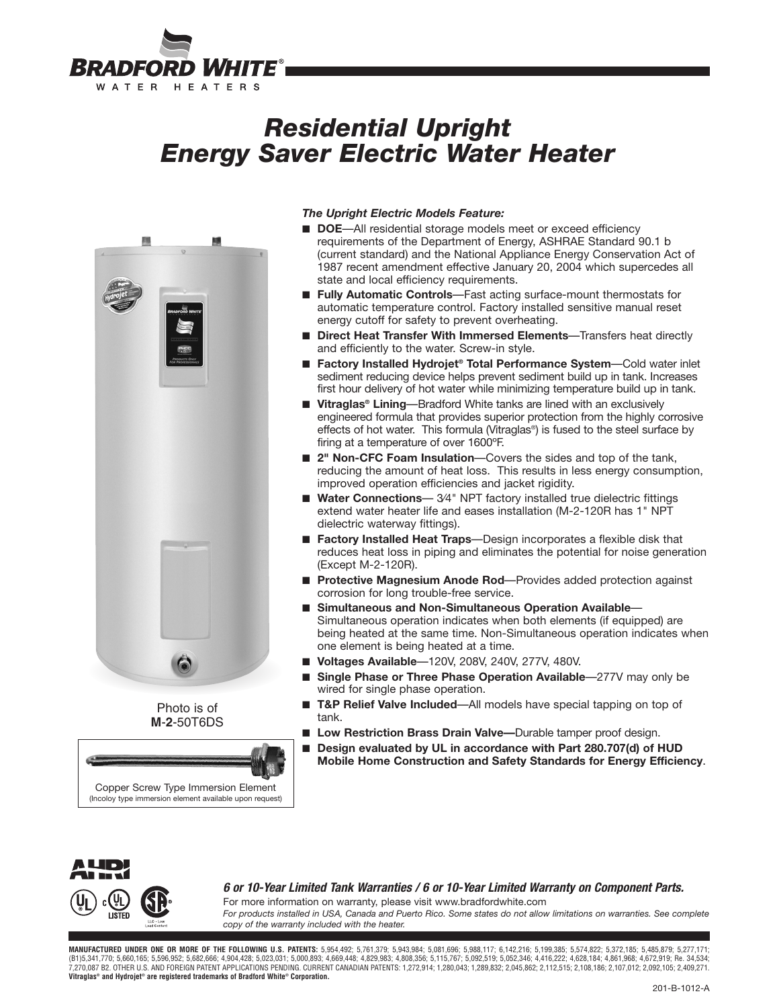

# *Residential Upright Energy Saver Electric Water Heater*



Photo is of **M**-**2**-50T6DS



## *The Upright Electric Models Feature:*

- **DOE**—All residential storage models meet or exceed efficiency requirements of the Department of Energy, ASHRAE Standard 90.1 b (current standard) and the National Appliance Energy Conservation Act of 1987 recent amendment effective January 20, 2004 which supercedes all state and local efficiency requirements.
- **Fully Automatic Controls**—Fast acting surface-mount thermostats for automatic temperature control. Factory installed sensitive manual reset energy cutoff for safety to prevent overheating.
- **Direct Heat Transfer With Immersed Elements**—Transfers heat directly and efficiently to the water. Screw-in style.
- **Factory Installed Hydrojet<sup>®</sup> Total Performance System—Cold water inlet** sediment reducing device helps prevent sediment build up in tank. Increases first hour delivery of hot water while minimizing temperature build up in tank.
- Vitraglas<sup>®</sup> Lining—Bradford White tanks are lined with an exclusively engineered formula that provides superior protection from the highly corrosive effects of hot water. This formula (Vitraglas®) is fused to the steel surface by firing at a temperature of over 1600ºF.
- **2" Non-CFC Foam Insulation**—Covers the sides and top of the tank, reducing the amount of heat loss. This results in less energy consumption, improved operation efficiencies and jacket rigidity.
- Water Connections-34" NPT factory installed true dielectric fittings extend water heater life and eases installation (M-2-120R has 1" NPT dielectric waterway fittings).
- **Factory Installed Heat Traps**—Design incorporates a flexible disk that reduces heat loss in piping and eliminates the potential for noise generation (Except M-2-120R).
- **Protective Magnesium Anode Rod**—Provides added protection against corrosion for long trouble-free service.
- **Simultaneous and Non-Simultaneous Operation Available** Simultaneous operation indicates when both elements (if equipped) are being heated at the same time. Non-Simultaneous operation indicates when one element is being heated at a time.
- **Voltages Available**—120V, 208V, 240V, 277V, 480V.
- **Single Phase or Three Phase Operation Available**—277V may only be wired for single phase operation.
- **T&P Relief Valve Included**—All models have special tapping on top of tank.
- Low Restriction Brass Drain Valve—Durable tamper proof design.
- Design evaluated by UL in accordance with Part 280.707(d) of HUD **Mobile Home Construction and Safety Standards for Energy Efficiency**.



**6 or 10-Year Limited Tank Warranties / 6 or 10-Year Limited Warranty on Component Parts.**

For more information on warranty, please visit www.bradfordwhite.com *For products installed in USA, Canada and Puerto Rico. Some states do not allow limitations on warranties. See complete copy of the warranty included with the heater.*

MANUFACTURED UNDER ONE OR MORE OF THE FOLLOWING U.S. PATENTS: 5,954,492; 5,761,379; 5,943,984; 5,081,696; 5,988,117; 6,142,216; 5,199,385; 5,574,822; 5,372,185; 5,485,879; 5,277,171;<br>(B1)5,341,770; 5,660,165; 5,596,952; 5, 7,270,087 B2. OTHER U.S. AND FOREIGN PATENT APPLICATIONS PENDING. CURRENT CANADIAN PATENTS: 1,272,914; 1,280,043; 1,289,832; 2,045,862; 2,112,515; 2,108,186; 2,107,012; 2,092,105; 2,409,271. **Vitraglas® and Hydrojet® are registered trademarks of Bradford White® Corporation.**